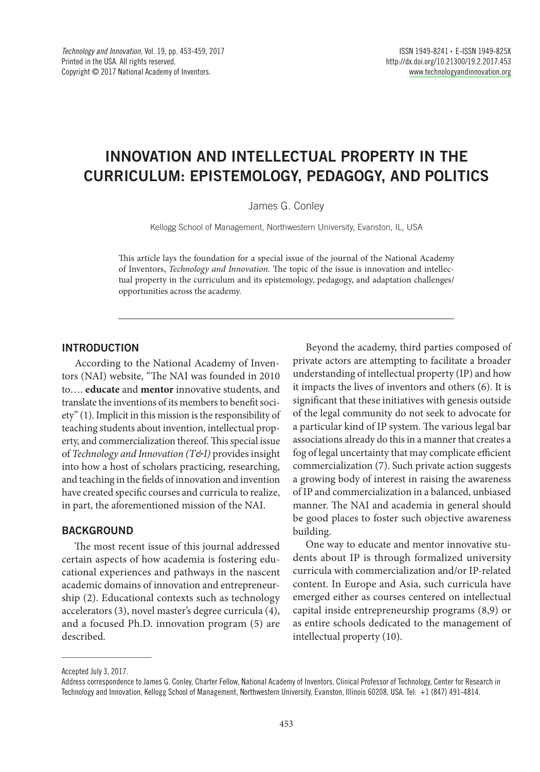# **INNOVATION AND INTELLECTUAL PROPERTY IN THE CURRICULUM: EPISTEMOLOGY, PEDAGOGY, AND POLITICS**

James G. Conley

Kellogg School of Management, Northwestern University, Evanston, IL, USA

This article lays the foundation for a special issue of the journal of the National Academy of Inventors, *Technology and Innovation.* The topic of the issue is innovation and intellectual property in the curriculum and its epistemology, pedagogy, and adaptation challenges/ opportunities across the academy.

## **INTRODUCTION**

According to the National Academy of Inventors (NAI) website, "The NAI was founded in 2010 to…. **educate** and **mentor** innovative students, and translate the inventions of its members to benefit society" (1). Implicit in this mission is the responsibility of teaching students about invention, intellectual property, and commercialization thereof. This special issue of *Technology and Innovation (T&I)* provides insight into how a host of scholars practicing, researching, and teaching in the fields of innovation and invention have created specific courses and curricula to realize, in part, the aforementioned mission of the NAI.

### **BACKGROUND**

The most recent issue of this journal addressed certain aspects of how academia is fostering educational experiences and pathways in the nascent academic domains of innovation and entrepreneurship (2). Educational contexts such as technology accelerators (3), novel master's degree curricula (4), and a focused Ph.D. innovation program (5) are described.

Beyond the academy, third parties composed of private actors are attempting to facilitate a broader understanding of intellectual property (IP) and how it impacts the lives of inventors and others (6). It is significant that these initiatives with genesis outside of the legal community do not seek to advocate for a particular kind of IP system. The various legal bar associations already do this in a manner that creates a fog of legal uncertainty that may complicate efficient commercialization (7). Such private action suggests a growing body of interest in raising the awareness of IP and commercialization in a balanced, unbiased manner. The NAI and academia in general should be good places to foster such objective awareness building.

One way to educate and mentor innovative students about IP is through formalized university curricula with commercialization and/or IP-related content. In Europe and Asia, such curricula have emerged either as courses centered on intellectual capital inside entrepreneurship programs (8,9) or as entire schools dedicated to the management of intellectual property (10).

Accepted July 3, 2017.

 $\mathcal{L}=\mathcal{L}$  , we can also the set of the set of the set of the set of the set of the set of the set of the set of

Address correspondence to James G. Conley, Charter Fellow, National Academy of Inventors, Clinical Professor of Technology, Center for Research in Technology and Innovation, Kellogg School of Management, Northwestern University, Evanston, Illinois 60208, USA. Tel: +1 (847) 491-4814.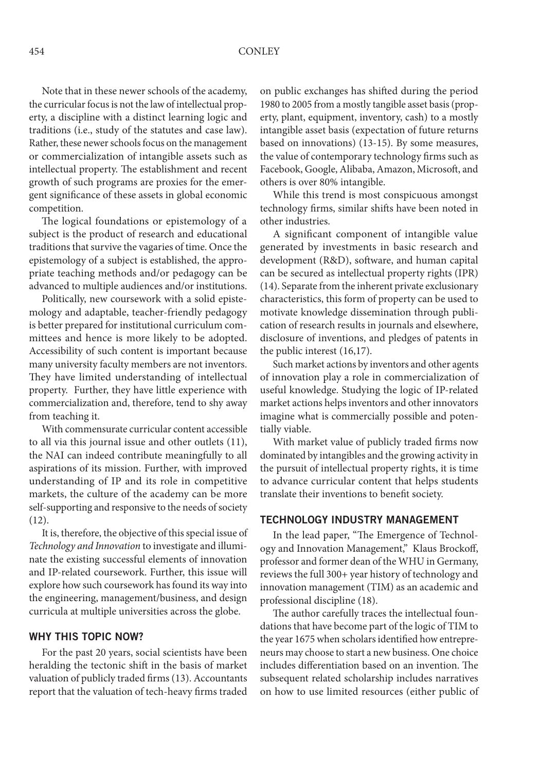#### 454 CONLEY

Note that in these newer schools of the academy, the curricular focus is not the law of intellectual property, a discipline with a distinct learning logic and traditions (i.e., study of the statutes and case law). Rather, these newer schools focus on the management or commercialization of intangible assets such as intellectual property. The establishment and recent growth of such programs are proxies for the emergent significance of these assets in global economic competition.

The logical foundations or epistemology of a subject is the product of research and educational traditions that survive the vagaries of time. Once the epistemology of a subject is established, the appropriate teaching methods and/or pedagogy can be advanced to multiple audiences and/or institutions.

Politically, new coursework with a solid epistemology and adaptable, teacher-friendly pedagogy is better prepared for institutional curriculum committees and hence is more likely to be adopted. Accessibility of such content is important because many university faculty members are not inventors. They have limited understanding of intellectual property. Further, they have little experience with commercialization and, therefore, tend to shy away from teaching it.

With commensurate curricular content accessible to all via this journal issue and other outlets (11), the NAI can indeed contribute meaningfully to all aspirations of its mission. Further, with improved understanding of IP and its role in competitive markets, the culture of the academy can be more self-supporting and responsive to the needs of society (12).

It is, therefore, the objective of this special issue of *Technology and Innovation* to investigate and illuminate the existing successful elements of innovation and IP-related coursework. Further, this issue will explore how such coursework has found its way into the engineering, management/business, and design curricula at multiple universities across the globe.

## **WHY THIS TOPIC NOW?**

For the past 20 years, social scientists have been heralding the tectonic shift in the basis of market valuation of publicly traded firms (13). Accountants report that the valuation of tech-heavy firms traded on public exchanges has shifted during the period 1980 to 2005 from a mostly tangible asset basis (property, plant, equipment, inventory, cash) to a mostly intangible asset basis (expectation of future returns based on innovations) (13-15). By some measures, the value of contemporary technology firms such as Facebook, Google, Alibaba, Amazon, Microsoft, and others is over 80% intangible.

While this trend is most conspicuous amongst technology firms, similar shifts have been noted in other industries.

A significant component of intangible value generated by investments in basic research and development (R&D), software, and human capital can be secured as intellectual property rights (IPR) (14). Separate from the inherent private exclusionary characteristics, this form of property can be used to motivate knowledge dissemination through publication of research results in journals and elsewhere, disclosure of inventions, and pledges of patents in the public interest (16,17).

Such market actions by inventors and other agents of innovation play a role in commercialization of useful knowledge. Studying the logic of IP-related market actions helps inventors and other innovators imagine what is commercially possible and potentially viable.

With market value of publicly traded firms now dominated by intangibles and the growing activity in the pursuit of intellectual property rights, it is time to advance curricular content that helps students translate their inventions to benefit society.

## **TECHNOLOGY INDUSTRY MANAGEMENT**

In the lead paper, "The Emergence of Technology and Innovation Management," Klaus Brockoff, professor and former dean of the WHU in Germany, reviews the full 300+ year history of technology and innovation management (TIM) as an academic and professional discipline (18).

The author carefully traces the intellectual foundations that have become part of the logic of TIM to the year 1675 when scholars identified how entrepreneurs may choose to start a new business. One choice includes differentiation based on an invention. The subsequent related scholarship includes narratives on how to use limited resources (either public of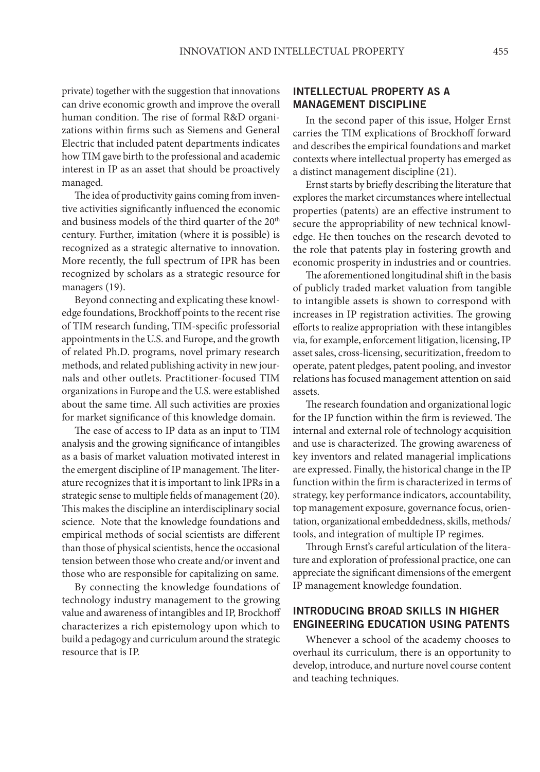private) together with the suggestion that innovations can drive economic growth and improve the overall human condition. The rise of formal R&D organizations within firms such as Siemens and General Electric that included patent departments indicates how TIM gave birth to the professional and academic interest in IP as an asset that should be proactively managed.

The idea of productivity gains coming from inventive activities significantly influenced the economic and business models of the third quarter of the 20<sup>th</sup> century. Further, imitation (where it is possible) is recognized as a strategic alternative to innovation. More recently, the full spectrum of IPR has been recognized by scholars as a strategic resource for managers (19).

Beyond connecting and explicating these knowledge foundations, Brockhoff points to the recent rise of TIM research funding, TIM-specific professorial appointments in the U.S. and Europe, and the growth of related Ph.D. programs, novel primary research methods, and related publishing activity in new journals and other outlets. Practitioner-focused TIM organizations in Europe and the U.S. were established about the same time. All such activities are proxies for market significance of this knowledge domain.

The ease of access to IP data as an input to TIM analysis and the growing significance of intangibles as a basis of market valuation motivated interest in the emergent discipline of IP management. The literature recognizes that it is important to link IPRs in a strategic sense to multiple fields of management (20). This makes the discipline an interdisciplinary social science. Note that the knowledge foundations and empirical methods of social scientists are different than those of physical scientists, hence the occasional tension between those who create and/or invent and those who are responsible for capitalizing on same.

By connecting the knowledge foundations of technology industry management to the growing value and awareness of intangibles and IP, Brockhoff characterizes a rich epistemology upon which to build a pedagogy and curriculum around the strategic resource that is IP.

# **INTELLECTUAL PROPERTY AS A MANAGEMENT DISCIPLINE**

In the second paper of this issue, Holger Ernst carries the TIM explications of Brockhoff forward and describes the empirical foundations and market contexts where intellectual property has emerged as a distinct management discipline (21).

Ernst starts by briefly describing the literature that explores the market circumstances where intellectual properties (patents) are an effective instrument to secure the appropriability of new technical knowledge. He then touches on the research devoted to the role that patents play in fostering growth and economic prosperity in industries and or countries.

The aforementioned longitudinal shift in the basis of publicly traded market valuation from tangible to intangible assets is shown to correspond with increases in IP registration activities. The growing efforts to realize appropriation with these intangibles via, for example, enforcement litigation, licensing, IP asset sales, cross-licensing, securitization, freedom to operate, patent pledges, patent pooling, and investor relations has focused management attention on said assets.

The research foundation and organizational logic for the IP function within the firm is reviewed. The internal and external role of technology acquisition and use is characterized. The growing awareness of key inventors and related managerial implications are expressed. Finally, the historical change in the IP function within the firm is characterized in terms of strategy, key performance indicators, accountability, top management exposure, governance focus, orientation, organizational embeddedness, skills, methods/ tools, and integration of multiple IP regimes.

Through Ernst's careful articulation of the literature and exploration of professional practice, one can appreciate the significant dimensions of the emergent IP management knowledge foundation.

## **INTRODUCING BROAD SKILLS IN HIGHER ENGINEERING EDUCATION USING PATENTS**

Whenever a school of the academy chooses to overhaul its curriculum, there is an opportunity to develop, introduce, and nurture novel course content and teaching techniques.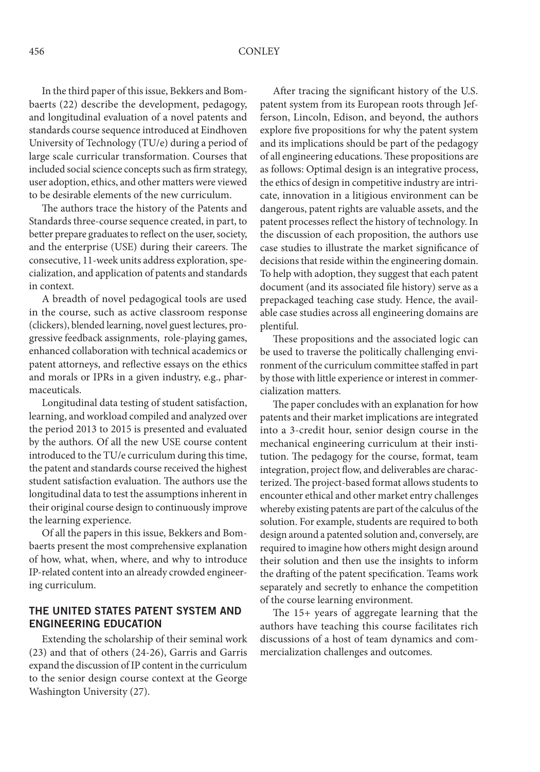#### 456 CONLEY

In the third paper of this issue, Bekkers and Bombaerts (22) describe the development, pedagogy, and longitudinal evaluation of a novel patents and standards course sequence introduced at Eindhoven University of Technology (TU/e) during a period of large scale curricular transformation. Courses that included social science concepts such as firm strategy, user adoption, ethics, and other matters were viewed to be desirable elements of the new curriculum.

The authors trace the history of the Patents and Standards three-course sequence created, in part, to better prepare graduates to reflect on the user, society, and the enterprise (USE) during their careers. The consecutive, 11-week units address exploration, specialization, and application of patents and standards in context.

A breadth of novel pedagogical tools are used in the course, such as active classroom response (clickers), blended learning, novel guest lectures, progressive feedback assignments, role-playing games, enhanced collaboration with technical academics or patent attorneys, and reflective essays on the ethics and morals or IPRs in a given industry, e.g., pharmaceuticals.

Longitudinal data testing of student satisfaction, learning, and workload compiled and analyzed over the period 2013 to 2015 is presented and evaluated by the authors. Of all the new USE course content introduced to the TU/e curriculum during this time, the patent and standards course received the highest student satisfaction evaluation. The authors use the longitudinal data to test the assumptions inherent in their original course design to continuously improve the learning experience.

Of all the papers in this issue, Bekkers and Bombaerts present the most comprehensive explanation of how, what, when, where, and why to introduce IP-related content into an already crowded engineering curriculum.

## **THE UNITED STATES PATENT SYSTEM AND ENGINEERING EDUCATION**

Extending the scholarship of their seminal work (23) and that of others (24-26), Garris and Garris expand the discussion of IP content in the curriculum to the senior design course context at the George Washington University (27).

After tracing the significant history of the U.S. patent system from its European roots through Jefferson, Lincoln, Edison, and beyond, the authors explore five propositions for why the patent system and its implications should be part of the pedagogy of all engineering educations. These propositions are as follows: Optimal design is an integrative process, the ethics of design in competitive industry are intricate, innovation in a litigious environment can be dangerous, patent rights are valuable assets, and the patent processes reflect the history of technology. In the discussion of each proposition, the authors use case studies to illustrate the market significance of decisions that reside within the engineering domain. To help with adoption, they suggest that each patent document (and its associated file history) serve as a prepackaged teaching case study. Hence, the available case studies across all engineering domains are plentiful.

These propositions and the associated logic can be used to traverse the politically challenging environment of the curriculum committee staffed in part by those with little experience or interest in commercialization matters.

The paper concludes with an explanation for how patents and their market implications are integrated into a 3-credit hour, senior design course in the mechanical engineering curriculum at their institution. The pedagogy for the course, format, team integration, project flow, and deliverables are characterized. The project-based format allows students to encounter ethical and other market entry challenges whereby existing patents are part of the calculus of the solution. For example, students are required to both design around a patented solution and, conversely, are required to imagine how others might design around their solution and then use the insights to inform the drafting of the patent specification. Teams work separately and secretly to enhance the competition of the course learning environment.

The 15+ years of aggregate learning that the authors have teaching this course facilitates rich discussions of a host of team dynamics and commercialization challenges and outcomes.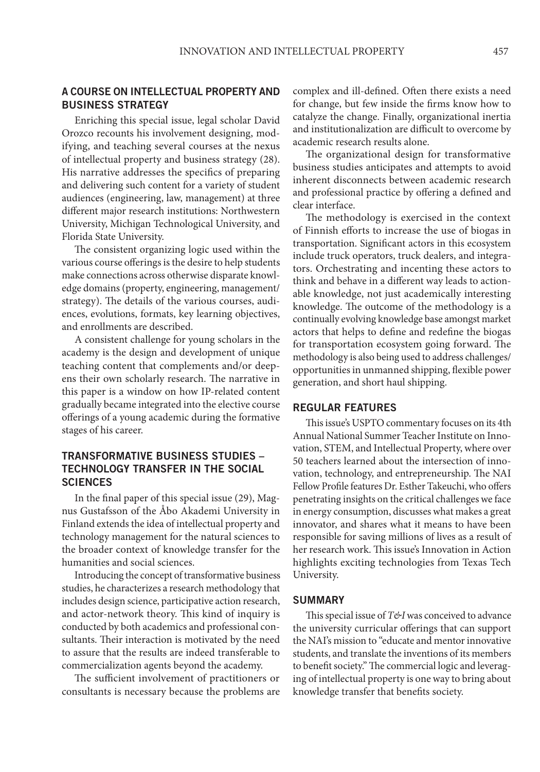# **A COURSE ON INTELLECTUAL PROPERTY AND BUSINESS STRATEGY**

Enriching this special issue, legal scholar David Orozco recounts his involvement designing, modifying, and teaching several courses at the nexus of intellectual property and business strategy (28). His narrative addresses the specifics of preparing and delivering such content for a variety of student audiences (engineering, law, management) at three different major research institutions: Northwestern University, Michigan Technological University, and Florida State University.

The consistent organizing logic used within the various course offerings is the desire to help students make connections across otherwise disparate knowledge domains (property, engineering, management/ strategy). The details of the various courses, audiences, evolutions, formats, key learning objectives, and enrollments are described.

A consistent challenge for young scholars in the academy is the design and development of unique teaching content that complements and/or deepens their own scholarly research. The narrative in this paper is a window on how IP-related content gradually became integrated into the elective course offerings of a young academic during the formative stages of his career.

# **TRANSFORMATIVE BUSINESS STUDIES – TECHNOLOGY TRANSFER IN THE SOCIAL SCIENCES**

In the final paper of this special issue (29), Magnus Gustafsson of the Åbo Akademi University in Finland extends the idea of intellectual property and technology management for the natural sciences to the broader context of knowledge transfer for the humanities and social sciences.

Introducing the concept of transformative business studies, he characterizes a research methodology that includes design science, participative action research, and actor-network theory. This kind of inquiry is conducted by both academics and professional consultants. Their interaction is motivated by the need to assure that the results are indeed transferable to commercialization agents beyond the academy.

The sufficient involvement of practitioners or consultants is necessary because the problems are complex and ill-defined. Often there exists a need for change, but few inside the firms know how to catalyze the change. Finally, organizational inertia and institutionalization are difficult to overcome by academic research results alone.

The organizational design for transformative business studies anticipates and attempts to avoid inherent disconnects between academic research and professional practice by offering a defined and clear interface.

The methodology is exercised in the context of Finnish efforts to increase the use of biogas in transportation. Significant actors in this ecosystem include truck operators, truck dealers, and integrators. Orchestrating and incenting these actors to think and behave in a different way leads to actionable knowledge, not just academically interesting knowledge. The outcome of the methodology is a continually evolving knowledge base amongst market actors that helps to define and redefine the biogas for transportation ecosystem going forward. The methodology is also being used to address challenges/ opportunities in unmanned shipping, flexible power generation, and short haul shipping.

## **REGULAR FEATURES**

This issue's USPTO commentary focuses on its 4th Annual National Summer Teacher Institute on Innovation, STEM, and Intellectual Property, where over 50 teachers learned about the intersection of innovation, technology, and entrepreneurship. The NAI Fellow Profile features Dr. Esther Takeuchi, who offers penetrating insights on the critical challenges we face in energy consumption, discusses what makes a great innovator, and shares what it means to have been responsible for saving millions of lives as a result of her research work. This issue's Innovation in Action highlights exciting technologies from Texas Tech University.

#### **SUMMARY**

This special issue of *T*&*I* was conceived to advance the university curricular offerings that can support the NAI's mission to "educate and mentor innovative students, and translate the inventions of its members to benefit society." The commercial logic and leveraging of intellectual property is one way to bring about knowledge transfer that benefits society.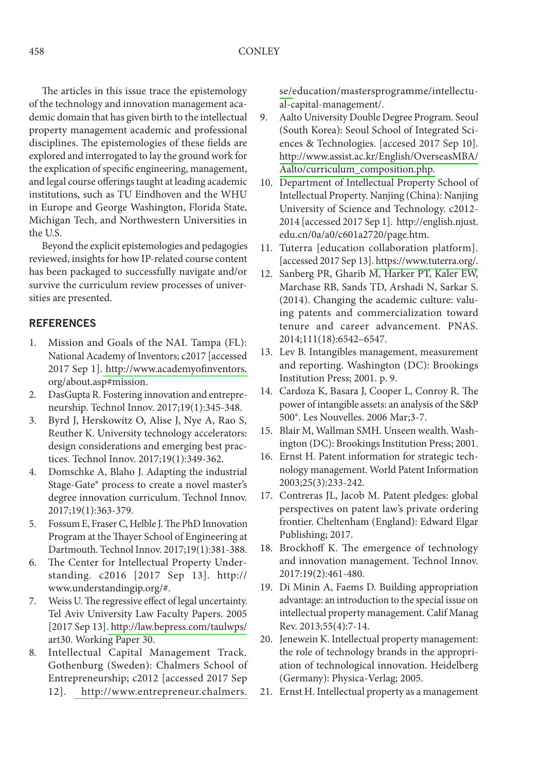The articles in this issue trace the epistemology of the technology and innovation management academic domain that has given birth to the intellectual property management academic and professional disciplines. The epistemologies of these fields are explored and interrogated to lay the ground work for the explication of specific engineering, management, and legal course offerings taught at leading academic institutions, such as TU Eindhoven and the WHU in Europe and George Washington, Florida State, Michigan Tech, and Northwestern Universities in the U.S.

Beyond the explicit epistemologies and pedagogies reviewed, insights for how IP-related course content has been packaged to successfully navigate and/or survive the curriculum review processes of universities are presented.

# **REFERENCES**

- 1. Mission and Goals of the NAI. Tampa (FL): National Academy of Inventors; c2017 [accessed 2017 Sep 1]. [http://www.academyofinventors.](http://www.academyofinventors) org/about.asp#mission.
- 2. DasGupta R. Fostering innovation and entrepreneurship. Technol Innov. 2017;19(1):345-348.
- 3. Byrd J, Herskowitz O, Alise J, Nye A, Rao S, Reuther K. University technology accelerators: design considerations and emerging best practices. Technol Innov. 2017;19(1):349-362.
- 4. Domschke A, Blaho J. Adapting the industrial Stage-Gate® process to create a novel master's degree innovation curriculum. Technol Innov. 2017;19(1):363-379.
- 5. Fossum E, Fraser C, Helble J. The PhD Innovation Program at the Thayer School of Engineering at Dartmouth. Technol Innov. 2017;19(1):381-388.
- 6. The Center for Intellectual Property Understanding. c2016 [2017 Sep 13]. http:// www.understandingip.org/#.
- 7. Weiss U. The regressive effect of legal uncertainty. Tel Aviv University Law Faculty Papers. 2005 [2017 Sep 13][. http://law.bepress.com/taulwps/](http://law.bepress.com/taulwps/) art30. Working Paper 30.
- 8. Intellectual Capital Management Track. Gothenburg (Sweden): Chalmers School of Entrepreneurship; c2012 [accessed 2017 Sep
	- 12]. [http://www.entrepreneur.chalmers.](http://www.entrepreneur.chalmers.se/)

[se/e](http://www.entrepreneur.chalmers.se/)ducation/mastersprogramme/intellectual-capital-management/.

- 9. Aalto University Double Degree Program. Seoul (South Korea): Seoul School of Integrated Sciences & Technologies. [accesed 2017 Sep 10]. [http://www.assist.ac.kr/English/OverseasMBA/](http://www.assist.ac.kr/English/OverseasMBA/Aalto/curriculum_composition.php) [Aalto/curriculum\\_composition.php.](http://www.assist.ac.kr/English/OverseasMBA/Aalto/curriculum_composition.php)
- 10. Department of Intellectual Property School of Intellectual Property. Nanjing (China): Nanjing University of Science and Technology. c2012- 2014 [accessed 2017 Sep 1]. http://english.njust. edu.cn/0a/a0/c601a2720/page.htm.
- 11. Tuterra [education collaboration platform]. [accessed 2017 Sep 13][. https://www.tuterra.org/.](http://www.tuterra.org/)
- 12. Sanberg PR, Gharib M, Harker PT, Kaler EW, Marchase RB, Sands TD, Arshadi N, Sarkar S. (2014). Changing the academic culture: valuing patents and commercialization toward tenure and career advancement. PNAS. 2014;111(18):6542–6547.
- 13. Lev B. Intangibles management, measurement and reporting. Washington (DC): Brookings Institution Press; 2001. p. 9.
- 14. Cardoza K, Basara J, Cooper L, Conroy R. The power of intangible assets: an analysis of the S&P 500®. Les Nouvelles. 2006 Mar;3-7.
- 15. Blair M, Wallman SMH. Unseen wealth. Washington (DC): Brookings Institution Press; 2001.
- 16. Ernst H. Patent information for strategic technology management. World Patent Information 2003;25(3):233-242.
- 17. Contreras JL, Jacob M. Patent pledges: global perspectives on patent law's private ordering frontier. Cheltenham (England): Edward Elgar Publishing; 2017.
- 18. Brockhoff K. The emergence of technology and innovation management. Technol Innov. 2017:19(2):461-480.
- 19. Di Minin A, Faems D. Building appropriation advantage: an introduction to the special issue on intellectual property management. Calif Manag Rev. 2013;55(4):7-14.
- 20. Jenewein K. Intellectual property management: the role of technology brands in the appropriation of technological innovation. Heidelberg (Germany): Physica-Verlag; 2005.
- 21. Ernst H. Intellectual property as a management